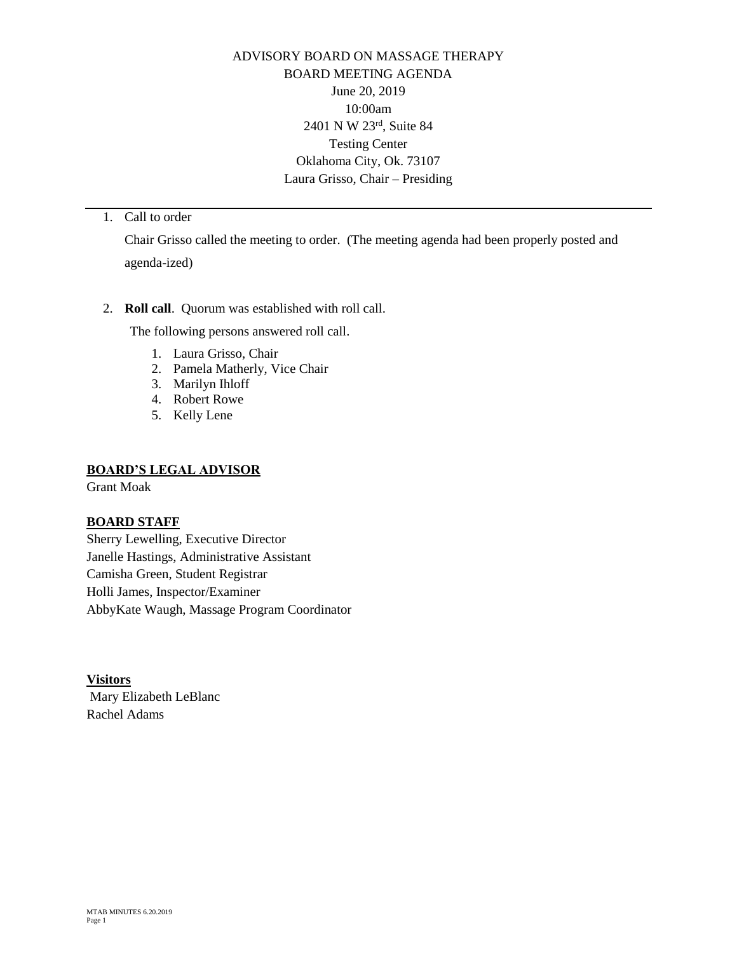ADVISORY BOARD ON MASSAGE THERAPY BOARD MEETING AGENDA June 20, 2019 10:00am 2401 N W 23rd, Suite 84 Testing Center Oklahoma City, Ok. 73107 Laura Grisso, Chair – Presiding

# 1. Call to order

Chair Grisso called the meeting to order. (The meeting agenda had been properly posted and agenda-ized)

# 2. **Roll call**. Quorum was established with roll call.

The following persons answered roll call.

- 1. Laura Grisso, Chair
- 2. Pamela Matherly, Vice Chair
- 3. Marilyn Ihloff
- 4. Robert Rowe
- 5. Kelly Lene

## **BOARD'S LEGAL ADVISOR**

Grant Moak

# **BOARD STAFF**

Sherry Lewelling, Executive Director Janelle Hastings, Administrative Assistant Camisha Green, Student Registrar Holli James, Inspector/Examiner AbbyKate Waugh, Massage Program Coordinator

**Visitors**  Mary Elizabeth LeBlanc Rachel Adams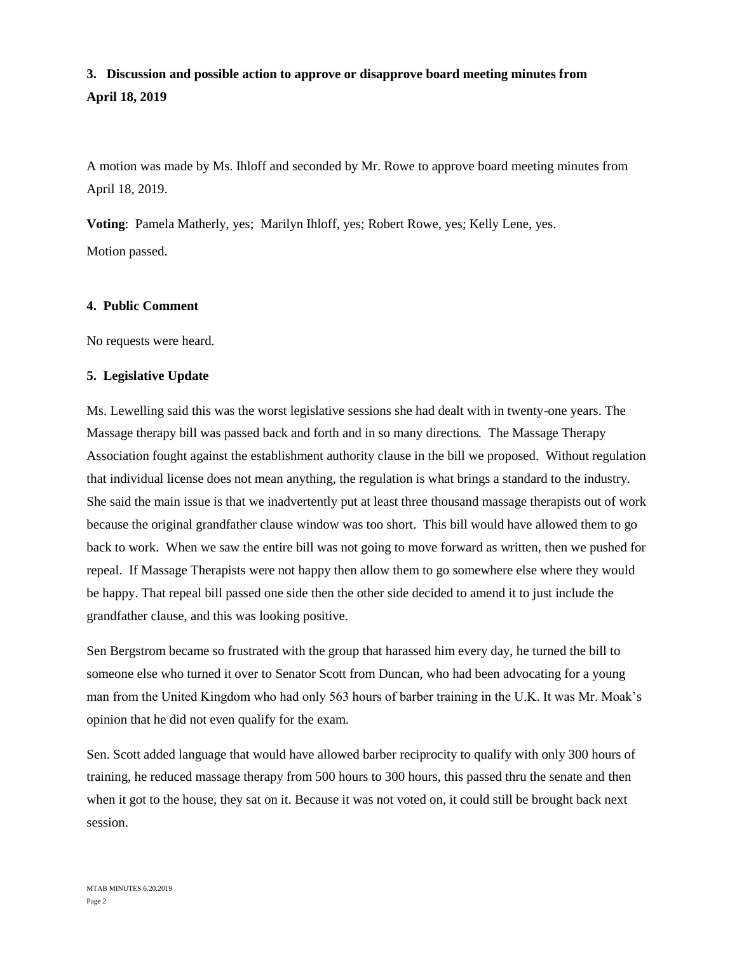# **3. Discussion and possible action to approve or disapprove board meeting minutes from April 18, 2019**

A motion was made by Ms. Ihloff and seconded by Mr. Rowe to approve board meeting minutes from April 18, 2019.

**Voting**: Pamela Matherly, yes; Marilyn Ihloff, yes; Robert Rowe, yes; Kelly Lene, yes. Motion passed.

#### **4. Public Comment**

No requests were heard.

## **5. Legislative Update**

Ms. Lewelling said this was the worst legislative sessions she had dealt with in twenty-one years. The Massage therapy bill was passed back and forth and in so many directions. The Massage Therapy Association fought against the establishment authority clause in the bill we proposed. Without regulation that individual license does not mean anything, the regulation is what brings a standard to the industry. She said the main issue is that we inadvertently put at least three thousand massage therapists out of work because the original grandfather clause window was too short. This bill would have allowed them to go back to work. When we saw the entire bill was not going to move forward as written, then we pushed for repeal. If Massage Therapists were not happy then allow them to go somewhere else where they would be happy. That repeal bill passed one side then the other side decided to amend it to just include the grandfather clause, and this was looking positive.

Sen Bergstrom became so frustrated with the group that harassed him every day, he turned the bill to someone else who turned it over to Senator Scott from Duncan, who had been advocating for a young man from the United Kingdom who had only 563 hours of barber training in the U.K. It was Mr. Moak's opinion that he did not even qualify for the exam.

Sen. Scott added language that would have allowed barber reciprocity to qualify with only 300 hours of training, he reduced massage therapy from 500 hours to 300 hours, this passed thru the senate and then when it got to the house, they sat on it. Because it was not voted on, it could still be brought back next session.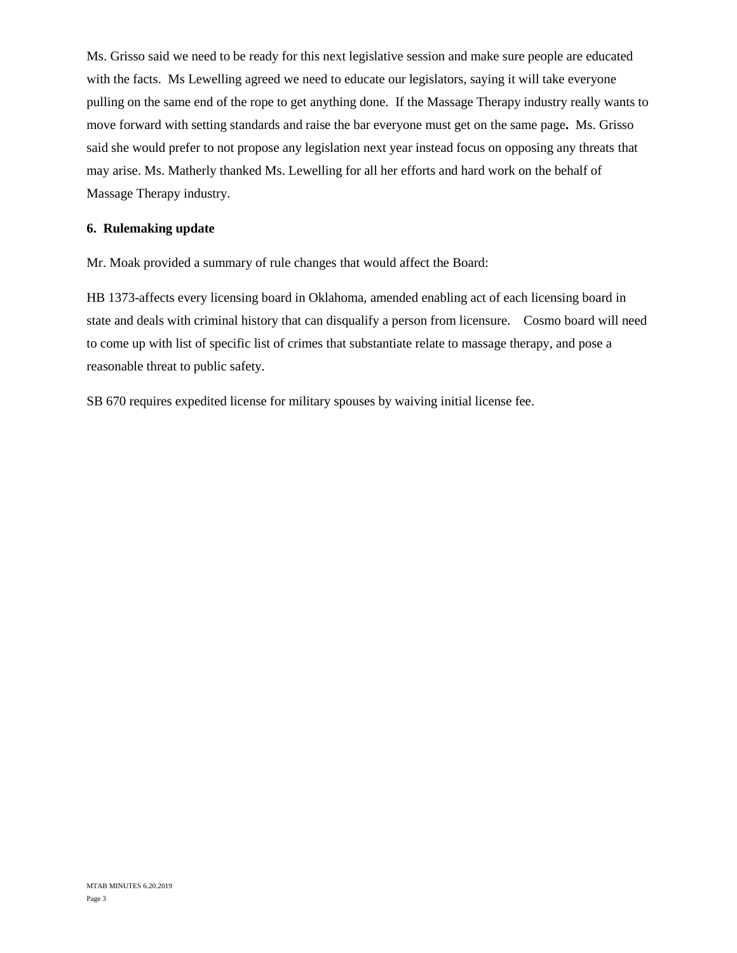Ms. Grisso said we need to be ready for this next legislative session and make sure people are educated with the facts. Ms Lewelling agreed we need to educate our legislators, saying it will take everyone pulling on the same end of the rope to get anything done. If the Massage Therapy industry really wants to move forward with setting standards and raise the bar everyone must get on the same page**.** Ms. Grisso said she would prefer to not propose any legislation next year instead focus on opposing any threats that may arise. Ms. Matherly thanked Ms. Lewelling for all her efforts and hard work on the behalf of Massage Therapy industry.

# **6. Rulemaking update**

Mr. Moak provided a summary of rule changes that would affect the Board:

HB 1373-affects every licensing board in Oklahoma, amended enabling act of each licensing board in state and deals with criminal history that can disqualify a person from licensure. Cosmo board will need to come up with list of specific list of crimes that substantiate relate to massage therapy, and pose a reasonable threat to public safety.

SB 670 requires expedited license for military spouses by waiving initial license fee.